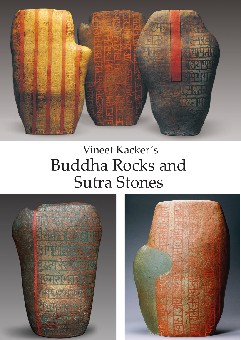

## Vineet Kacker's Buddha Rocks and Sutra Stones



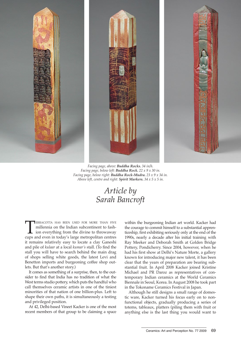



*Facing page, above: Buddha Rocks. 34 in/h. Facing page, below left: Buddha Rock. 22 x 9 x 30 in. Facing page, below right: Buddha Rock-Mudra. 23 x 9 x 34 in. Above left, centre and right: Spirit Markers. 34 x 5 x 5 in.*

*Article by Sarah Bancroft*

**TERRACOTTA HAS BEEN USED FOR MORE THAN FIVE**<br>millennia on the Indian subcontinent to fash-<br>ion everything from the divine to throwaway<br>cups and even in today's large metropolitan centres millennia on the Indian subcontinent to fashion everything from the divine to throwaway cups and even in today's large metropolitan centres it remains relatively easy to locate a clay Ganeshi and pile of *kulaar* at a local *kumar's* stall. (To find the stall you will have to search behind the main drag of shops selling white goods, the latest Levi and Benetton imports and burgeoning coffee shop outlets. But that's another story.)

It comes as something of a surprise, then, to the outsider to find that India has no tradition of what the West terms studio pottery, which puts the handful who call themselves ceramic artists in one of the tiniest minorities of that nation of one billion-plus. Left to shape their own paths, it is simultaneously a testing and privileged position.

At 42, Delhi-based Vineet Kacker is one of the most recent members of that group to be claiming a space

within the burgeoning Indian art world. Kacker had the courage to commit himself to a substantial apprenticeship, first exhibiting seriously only at the end of the 1990s, nearly a decade after his initial training with Ray Meeker and Deborah Smith at Golden Bridge Pottery, Pondicherry. Since 2004, however, when he had his first show at Delhi's Nature Morte, a gallery known for introducing major new talent, it has been clear that the years of preparation are bearing substantial fruit. In April 2008 Kacker joined Kristine Michael and PR Daroz as representatives of contemporary Indian ceramics at the World Ceramics Biennale in Seoul, Korea. In August 2008 he took part in the Tokoname Ceramics Festival in Japan.

Although he still designs a small range of domestic ware, Kacker turned his focus early on to nonfunctional objects, gradually producing a series of totems, tableaux, platters (piling them with fruit or anything else is the last thing you would want to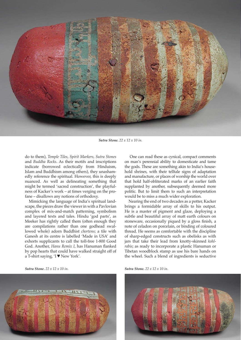

*Sutra Stone. 22 x 12 x 10 in.*

do to them), *Temple Tiles, Spirit Markers, Sutra Stones*  and *Buddha Rocks*. As their motifs and inscriptions indicate (borrowed eclectically from Hinduism, Islam and Buddhism among others), they unashamedly reference the spiritual. However, this is deeply nuanced. As well as delineating something that might be termed 'sacred construction', the playfulness of Kacker's work – at times verging on the profane – disallows any notions of orthodoxy.

Mimicking the language of India's spiritual landscape, the pieces draw the viewer in with a Pavlovian complex of mix-and-match patterning, symbolism and layered texts and tales. Hindu 'god parts', as Meeker has rightly called them (often enough they are compilations rather than one godhead swallowed whole) adorn Buddhist *chortens*; a tile with Ganesh at its centre is labelled 'Made in USA' and exhorts supplicants to call the toll-free 1-800 Good God. Another, *Hanu Remix I*, has Hanuman flanked by pop hearts that could have walked straight off of a T-shirt saying, 'I ♥ New York'.

*Sutra Stone. 22 x 12 x 10 in. Sutra Stone. 22 x 12 x 10 in.*



 One can read these as cynical, compact comments on man's perennial ability to domesticate and tame the gods. These are something akin to India's household shrines, with their telltale signs of adaptation and manufacture, or places of worship the world over that hold half-obliterated marks of an earlier faith supplanted by another, subsequently deemed more politic. But to limit them to such an interpretation would be to miss a much wider exploration.

Nearing the end of two decades as a potter, Kacker brings a formidable array of skills to his output. He is a master of pigment and glaze, deploying a subtle and beautiful array of matt earth colours on stoneware, occasionally piqued by a gloss finish, a note of celadon on porcelain, or binding of coloured thread. He seems as comfortable with the discipline of sharp-edged constructs such as obelisks as with jars that take their lead from knotty-skinned *kohlrabis*; as ready to incorporate a plastic Hanuman or Tibetan woodblock stamp as use his bare hands on the wheel. Such a blend of ingredients is seductive